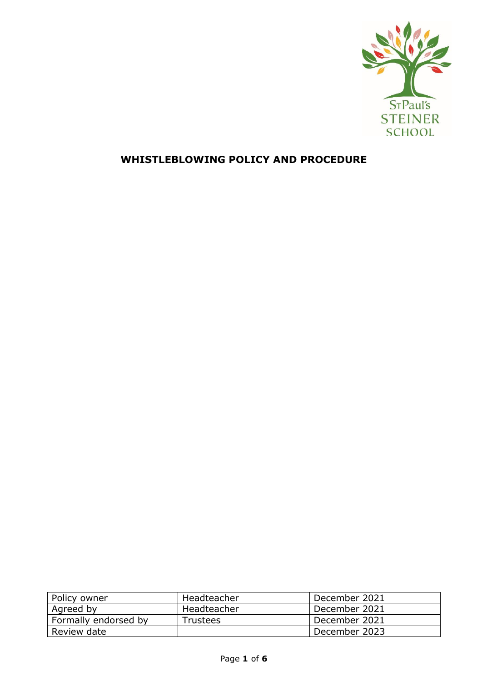

# **WHISTLEBLOWING POLICY AND PROCEDURE**

| Policy owner         | Headteacher     | December 2021 |
|----------------------|-----------------|---------------|
| Agreed by            | Headteacher     | December 2021 |
| Formally endorsed by | <b>Trustees</b> | December 2021 |
| Review date          |                 | December 2023 |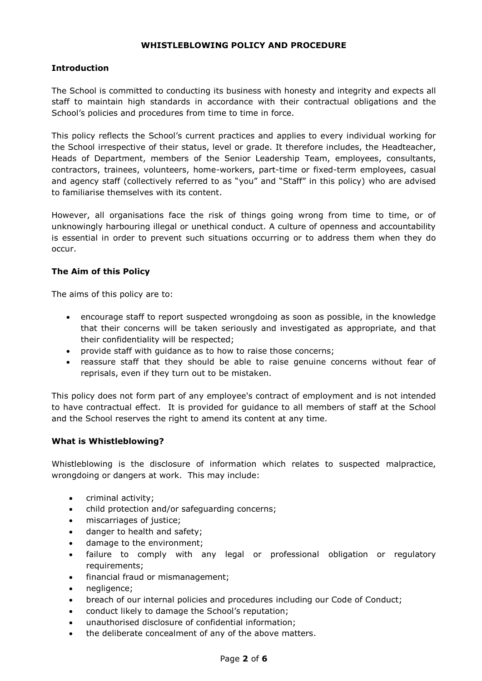#### **WHISTLEBLOWING POLICY AND PROCEDURE**

## **Introduction**

The School is committed to conducting its business with honesty and integrity and expects all staff to maintain high standards in accordance with their contractual obligations and the School's policies and procedures from time to time in force.

This policy reflects the School's current practices and applies to every individual working for the School irrespective of their status, level or grade. It therefore includes, the Headteacher, Heads of Department, members of the Senior Leadership Team, employees, consultants, contractors, trainees, volunteers, home-workers, part-time or fixed-term employees, casual and agency staff (collectively referred to as "you" and "Staff" in this policy) who are advised to familiarise themselves with its content.

However, all organisations face the risk of things going wrong from time to time, or of unknowingly harbouring illegal or unethical conduct. A culture of openness and accountability is essential in order to prevent such situations occurring or to address them when they do occur.

#### **The Aim of this Policy**

The aims of this policy are to:

- encourage staff to report suspected wrongdoing as soon as possible, in the knowledge that their concerns will be taken seriously and investigated as appropriate, and that their confidentiality will be respected;
- provide staff with guidance as to how to raise those concerns;
- reassure staff that they should be able to raise genuine concerns without fear of reprisals, even if they turn out to be mistaken.

This policy does not form part of any employee's contract of employment and is not intended to have contractual effect. It is provided for guidance to all members of staff at the School and the School reserves the right to amend its content at any time.

#### **What is Whistleblowing?**

Whistleblowing is the disclosure of information which relates to suspected malpractice, wrongdoing or dangers at work. This may include:

- criminal activity;
- child protection and/or safeguarding concerns;
- miscarriages of justice;
- danger to health and safety;
- damage to the environment;
- failure to comply with any legal or professional obligation or regulatory requirements;
- financial fraud or mismanagement;
- negligence;
- breach of our internal policies and procedures including our Code of Conduct;
- conduct likely to damage the School's reputation;
- unauthorised disclosure of confidential information;
- the deliberate concealment of any of the above matters.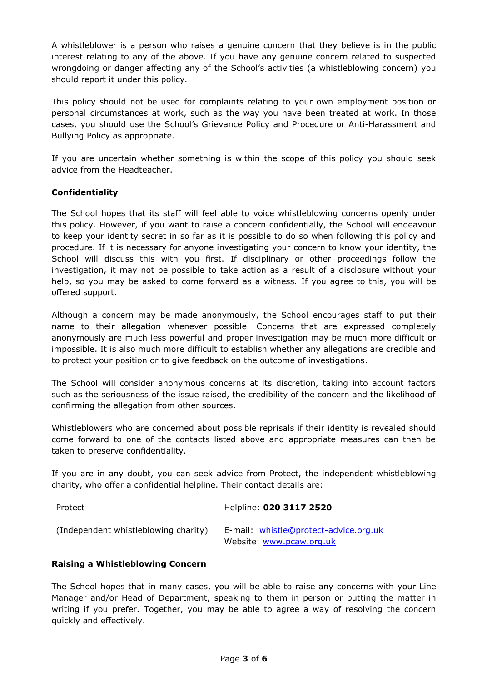A whistleblower is a person who raises a genuine concern that they believe is in the public interest relating to any of the above. If you have any genuine concern related to suspected wrongdoing or danger affecting any of the School's activities (a whistleblowing concern) you should report it under this policy.

This policy should not be used for complaints relating to your own employment position or personal circumstances at work, such as the way you have been treated at work. In those cases, you should use the School's Grievance Policy and Procedure or Anti-Harassment and Bullying Policy as appropriate.

If you are uncertain whether something is within the scope of this policy you should seek advice from the Headteacher.

# **Confidentiality**

The School hopes that its staff will feel able to voice whistleblowing concerns openly under this policy. However, if you want to raise a concern confidentially, the School will endeavour to keep your identity secret in so far as it is possible to do so when following this policy and procedure. If it is necessary for anyone investigating your concern to know your identity, the School will discuss this with you first. If disciplinary or other proceedings follow the investigation, it may not be possible to take action as a result of a disclosure without your help, so you may be asked to come forward as a witness. If you agree to this, you will be offered support.

Although a concern may be made anonymously, the School encourages staff to put their name to their allegation whenever possible. Concerns that are expressed completely anonymously are much less powerful and proper investigation may be much more difficult or impossible. It is also much more difficult to establish whether any allegations are credible and to protect your position or to give feedback on the outcome of investigations.

The School will consider anonymous concerns at its discretion, taking into account factors such as the seriousness of the issue raised, the credibility of the concern and the likelihood of confirming the allegation from other sources.

Whistleblowers who are concerned about possible reprisals if their identity is revealed should come forward to one of the contacts listed above and appropriate measures can then be taken to preserve confidentiality.

If you are in any doubt, you can seek advice from Protect, the independent whistleblowing charity, who offer a confidential helpline. Their contact details are:

| Protect                              | Helpline: 020 3117 2520                                           |
|--------------------------------------|-------------------------------------------------------------------|
| (Independent whistleblowing charity) | E-mail: whistle@protect-advice.org.uk<br>Website: www.pcaw.org.uk |

## **Raising a Whistleblowing Concern**

The School hopes that in many cases, you will be able to raise any concerns with your Line Manager and/or Head of Department, speaking to them in person or putting the matter in writing if you prefer. Together, you may be able to agree a way of resolving the concern quickly and effectively.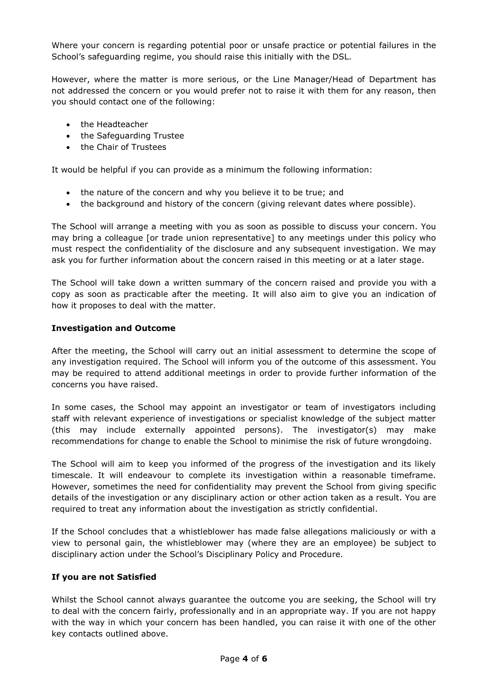Where your concern is regarding potential poor or unsafe practice or potential failures in the School's safeguarding regime, you should raise this initially with the DSL.

However, where the matter is more serious, or the Line Manager/Head of Department has not addressed the concern or you would prefer not to raise it with them for any reason, then you should contact one of the following:

- the Headteacher
- the Safeguarding Trustee
- the Chair of Trustees

It would be helpful if you can provide as a minimum the following information:

- the nature of the concern and why you believe it to be true; and
- the background and history of the concern (giving relevant dates where possible).

The School will arrange a meeting with you as soon as possible to discuss your concern. You may bring a colleague [or trade union representative] to any meetings under this policy who must respect the confidentiality of the disclosure and any subsequent investigation. We may ask you for further information about the concern raised in this meeting or at a later stage.

The School will take down a written summary of the concern raised and provide you with a copy as soon as practicable after the meeting. It will also aim to give you an indication of how it proposes to deal with the matter.

## **Investigation and Outcome**

After the meeting, the School will carry out an initial assessment to determine the scope of any investigation required. The School will inform you of the outcome of this assessment. You may be required to attend additional meetings in order to provide further information of the concerns you have raised.

In some cases, the School may appoint an investigator or team of investigators including staff with relevant experience of investigations or specialist knowledge of the subject matter (this may include externally appointed persons). The investigator(s) may make recommendations for change to enable the School to minimise the risk of future wrongdoing.

The School will aim to keep you informed of the progress of the investigation and its likely timescale. It will endeavour to complete its investigation within a reasonable timeframe. However, sometimes the need for confidentiality may prevent the School from giving specific details of the investigation or any disciplinary action or other action taken as a result. You are required to treat any information about the investigation as strictly confidential.

If the School concludes that a whistleblower has made false allegations maliciously or with a view to personal gain, the whistleblower may (where they are an employee) be subject to disciplinary action under the School's Disciplinary Policy and Procedure.

## **If you are not Satisfied**

Whilst the School cannot always guarantee the outcome you are seeking, the School will try to deal with the concern fairly, professionally and in an appropriate way. If you are not happy with the way in which your concern has been handled, you can raise it with one of the other key contacts outlined above.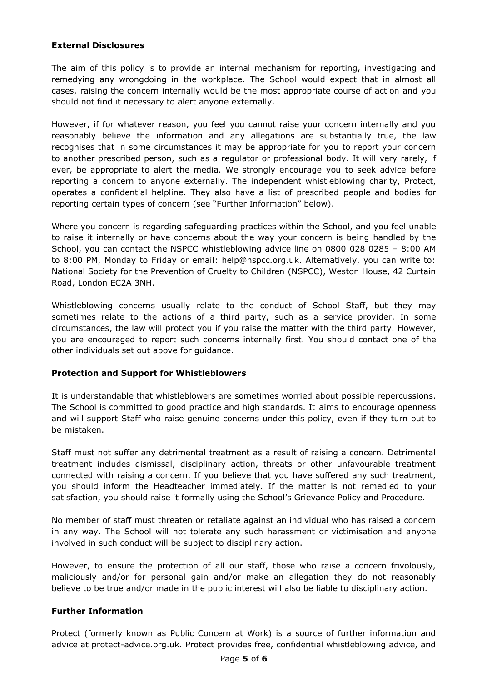## **External Disclosures**

The aim of this policy is to provide an internal mechanism for reporting, investigating and remedying any wrongdoing in the workplace. The School would expect that in almost all cases, raising the concern internally would be the most appropriate course of action and you should not find it necessary to alert anyone externally.

However, if for whatever reason, you feel you cannot raise your concern internally and you reasonably believe the information and any allegations are substantially true, the law recognises that in some circumstances it may be appropriate for you to report your concern to another prescribed person, such as a regulator or professional body. It will very rarely, if ever, be appropriate to alert the media. We strongly encourage you to seek advice before reporting a concern to anyone externally. The independent whistleblowing charity, Protect, operates a confidential helpline. They also have a list of prescribed people and bodies for reporting certain types of concern (see "Further Information" below).

Where you concern is regarding safeguarding practices within the School, and you feel unable to raise it internally or have concerns about the way your concern is being handled by the School, you can contact the NSPCC whistleblowing advice line on 0800 028 0285 – 8:00 AM to 8:00 PM, Monday to Friday or email: help@nspcc.org.uk. Alternatively, you can write to: National Society for the Prevention of Cruelty to Children (NSPCC), Weston House, 42 Curtain Road, London EC2A 3NH.

Whistleblowing concerns usually relate to the conduct of School Staff, but they may sometimes relate to the actions of a third party, such as a service provider. In some circumstances, the law will protect you if you raise the matter with the third party. However, you are encouraged to report such concerns internally first. You should contact one of the other individuals set out above for guidance.

#### **Protection and Support for Whistleblowers**

It is understandable that whistleblowers are sometimes worried about possible repercussions. The School is committed to good practice and high standards. It aims to encourage openness and will support Staff who raise genuine concerns under this policy, even if they turn out to be mistaken.

Staff must not suffer any detrimental treatment as a result of raising a concern. Detrimental treatment includes dismissal, disciplinary action, threats or other unfavourable treatment connected with raising a concern. If you believe that you have suffered any such treatment, you should inform the Headteacher immediately. If the matter is not remedied to your satisfaction, you should raise it formally using the School's Grievance Policy and Procedure.

No member of staff must threaten or retaliate against an individual who has raised a concern in any way. The School will not tolerate any such harassment or victimisation and anyone involved in such conduct will be subject to disciplinary action.

However, to ensure the protection of all our staff, those who raise a concern frivolously, maliciously and/or for personal gain and/or make an allegation they do not reasonably believe to be true and/or made in the public interest will also be liable to disciplinary action.

## **Further Information**

Protect (formerly known as Public Concern at Work) is a source of further information and advice at protect-advice.org.uk. Protect provides free, confidential whistleblowing advice, and